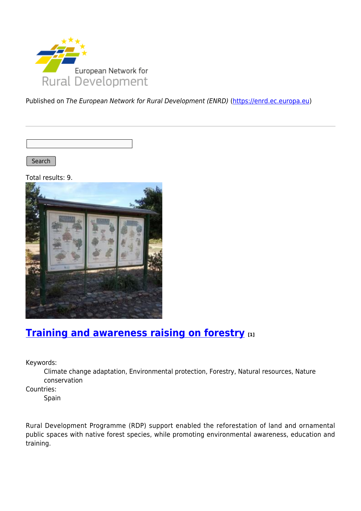

Published on The European Network for Rural Development (ENRD) [\(https://enrd.ec.europa.eu](https://enrd.ec.europa.eu))

Search

Total results: 9.



## **[Training and awareness raising on forestry](https://enrd.ec.europa.eu/projects-practice/training-and-awareness-raising-forestry_en) [1]**

Keywords:

Climate change adaptation, Environmental protection, Forestry, Natural resources, Nature conservation

Countries:

Spain

Rural Development Programme (RDP) support enabled the reforestation of land and ornamental public spaces with native forest species, while promoting environmental awareness, education and training.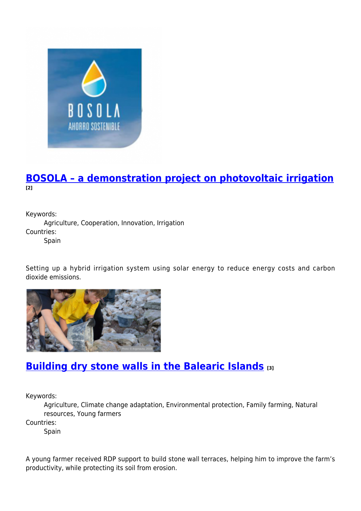

#### **[BOSOLA – a demonstration project on photovoltaic irrigation](https://enrd.ec.europa.eu/projects-practice/bosola-demonstration-project-photovoltaic-irrigation_en) [2]**

Keywords: Agriculture, Cooperation, Innovation, Irrigation Countries: Spain

Setting up a hybrid irrigation system using solar energy to reduce energy costs and carbon dioxide emissions.



## **[Building dry stone walls in the Balearic Islands](https://enrd.ec.europa.eu/projects-practice/building-dry-stone-walls-balearic-islands_en) [3]**

Keywords:

Agriculture, Climate change adaptation, Environmental protection, Family farming, Natural resources, Young farmers

Countries:

Spain

A young farmer received RDP support to build stone wall terraces, helping him to improve the farm's productivity, while protecting its soil from erosion.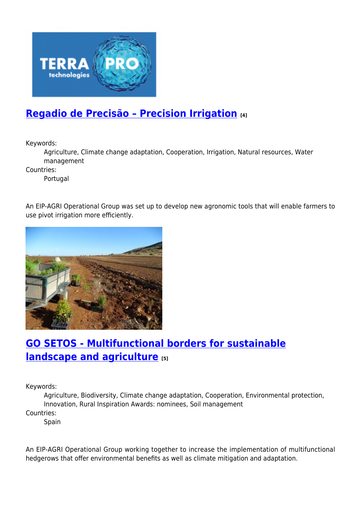

## **[Regadio de Precisão – Precision Irrigation](https://enrd.ec.europa.eu/projects-practice/regadio-de-precisao-precision-irrigation_en) [4]**

Keywords:

Agriculture, Climate change adaptation, Cooperation, Irrigation, Natural resources, Water management

Countries:

Portugal

An EIP-AGRI Operational Group was set up to develop new agronomic tools that will enable farmers to use pivot irrigation more efficiently.



## **[GO SETOS - Multifunctional borders for sustainable](https://enrd.ec.europa.eu/projects-practice/go-setos-multifunctional-borders-sustainable-landscape-and-agriculture_en) [landscape and agriculture](https://enrd.ec.europa.eu/projects-practice/go-setos-multifunctional-borders-sustainable-landscape-and-agriculture_en) [5]**

Keywords:

Agriculture, Biodiversity, Climate change adaptation, Cooperation, Environmental protection, Innovation, Rural Inspiration Awards: nominees, Soil management

Countries:

**Spain** 

An EIP-AGRI Operational Group working together to increase the implementation of multifunctional hedgerows that offer environmental benefits as well as climate mitigation and adaptation.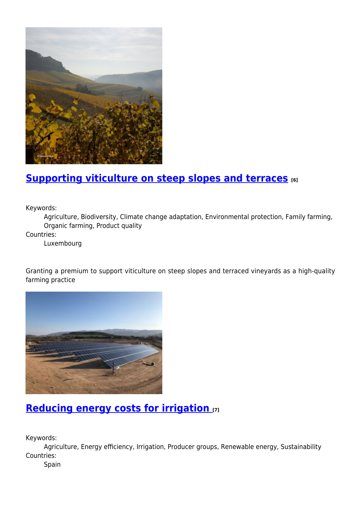

#### **[Supporting viticulture on steep slopes and terraces](https://enrd.ec.europa.eu/projects-practice/supporting-viticulture-steep-slopes-and-terraces_en) [6]**

Keywords:

Agriculture, Biodiversity, Climate change adaptation, Environmental protection, Family farming, Organic farming, Product quality

Countries:

Luxembourg

Granting a premium to support viticulture on steep slopes and terraced vineyards as a high-quality farming practice



#### **[Reducing energy costs for irrigation](https://enrd.ec.europa.eu/projects-practice/reducing-energy-costs-irrigation_en) [7]**

Keywords:

Agriculture, Energy efficiency, Irrigation, Producer groups, Renewable energy, Sustainability Countries:

Spain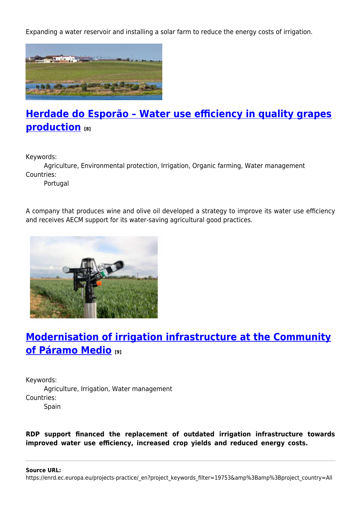Expanding a water reservoir and installing a solar farm to reduce the energy costs of irrigation.



# **[Herdade do Esporão – Water use efficiency in quality grapes](https://enrd.ec.europa.eu/projects-practice/herdade-do-esporao-water-use-efficiency-quality-grapes-production_en) [production](https://enrd.ec.europa.eu/projects-practice/herdade-do-esporao-water-use-efficiency-quality-grapes-production_en) [8]**

Keywords:

Agriculture, Environmental protection, Irrigation, Organic farming, Water management Countries:

Portugal

A company that produces wine and olive oil developed a strategy to improve its water use efficiency and receives AECM support for its water-saving agricultural good practices.



# **[Modernisation of irrigation infrastructure at the Community](https://enrd.ec.europa.eu/projects-practice/modernisation-irrigation-infrastructure-community-p%C3%A1ramo-medio_en) [of Páramo Medio](https://enrd.ec.europa.eu/projects-practice/modernisation-irrigation-infrastructure-community-p%C3%A1ramo-medio_en) [9]**

Keywords: Agriculture, Irrigation, Water management Countries: Spain

**RDP support financed the replacement of outdated irrigation infrastructure towards improved water use efficiency, increased crop yields and reduced energy costs.**

**Source URL:**

https://enrd.ec.europa.eu/projects-practice/\_en?project\_keywords\_filter=19753&amp%3Bamp%3Bproject\_country=All